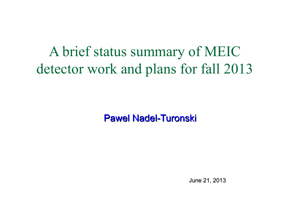A brief status summary of MEIC detector work and plans for fall 2013

Pawel Nadel-Turonski

June 21, 2013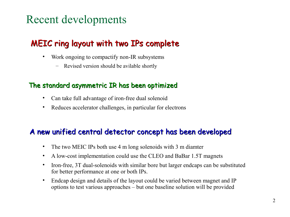# Recent developments

### MEIC ring layout with two IPs complete

- Work ongoing to compactify non-IR subsystems
	- Revised version should be avilable shortly

### The standard asymmetric IR has been optimized

- Can take full advantage of iron-free dual solenoid
- Reduces accelerator challenges, in particular for electrons

### A new unified central detector concept has been developed

- The two MEIC IPs both use 4 m long solenoids with 3 m diamter
- A low-cost implementation could use the CLEO and BaBar 1.5T magnets
- Iron-free, 3T dual-solenoids with similar bore but larger endcaps can be substituted for better performance at one or both IPs.
- Endcap design and details of the layout could be varied between magnet and IP options to test various approaches – but one baseline solution will be provided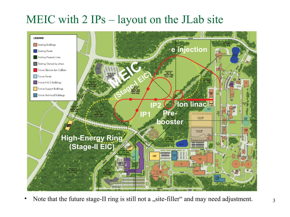# MEIC with 2 IPs – layout on the JLab site



• Note that the future stage-II ring is still not a "site-filler" and may need adjustment.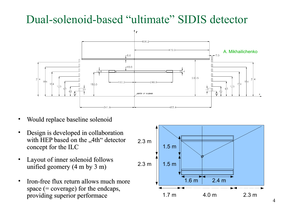# Dual-solenoid-based "ultimate" SIDIS detector



- Would replace baseline solenoid
- Design is developed in collaboration with HEP based on the "4th" detector concept for the ILC
- Layout of inner solenoid follows unified geomery (4 m by 3 m)
- Iron-free flux return allows much more space (= coverage) for the endcaps, providing superior performace

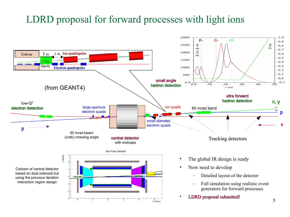## LDRD proposal for forward processes with light ions